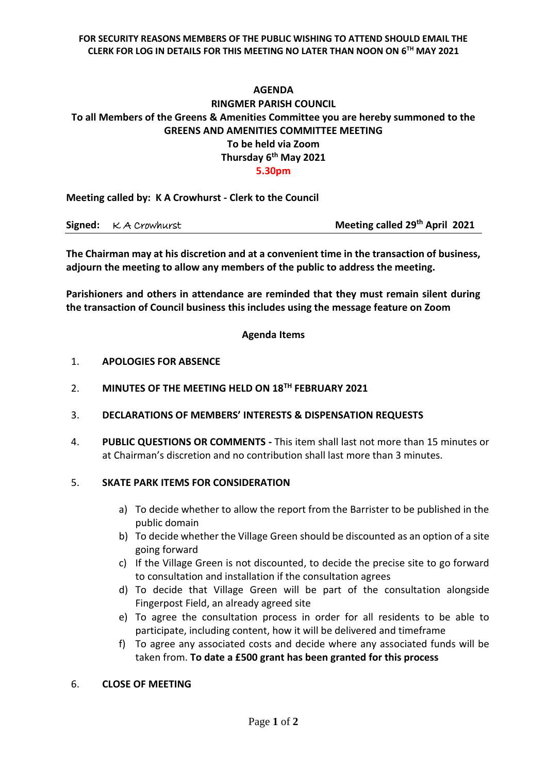#### **FOR SECURITY REASONS MEMBERS OF THE PUBLIC WISHING TO ATTEND SHOULD EMAIL THE CLERK FOR LOG IN DETAILS FOR THIS MEETING NO LATER THAN NOON ON 6 TH MAY 2021**

### **AGENDA**

# **RINGMER PARISH COUNCIL To all Members of the Greens & Amenities Committee you are hereby summoned to the GREENS AND AMENITIES COMMITTEE MEETING To be held via Zoom Thursday 6 th May 2021**

**5.30pm**

**Meeting called by: K A Crowhurst - Clerk to the Council**

**Signed:**  $\kappa$  A Crowhurst **Meeting called 29<sup>th</sup> April 2021** 

**The Chairman may at his discretion and at a convenient time in the transaction of business, adjourn the meeting to allow any members of the public to address the meeting.**

**Parishioners and others in attendance are reminded that they must remain silent during the transaction of Council business this includes using the message feature on Zoom**

### **Agenda Items**

- 1. **APOLOGIES FOR ABSENCE**
- 2. **MINUTES OF THE MEETING HELD ON 18TH FEBRUARY 2021**
- 3. **DECLARATIONS OF MEMBERS' INTERESTS & DISPENSATION REQUESTS**
- 4. **PUBLIC QUESTIONS OR COMMENTS -** This item shall last not more than 15 minutes or at Chairman's discretion and no contribution shall last more than 3 minutes.

### 5. **SKATE PARK ITEMS FOR CONSIDERATION**

- a) To decide whether to allow the report from the Barrister to be published in the public domain
- b) To decide whether the Village Green should be discounted as an option of a site going forward
- c) If the Village Green is not discounted, to decide the precise site to go forward to consultation and installation if the consultation agrees
- d) To decide that Village Green will be part of the consultation alongside Fingerpost Field, an already agreed site
- e) To agree the consultation process in order for all residents to be able to participate, including content, how it will be delivered and timeframe
- f) To agree any associated costs and decide where any associated funds will be taken from. **To date a £500 grant has been granted for this process**

### 6. **CLOSE OF MEETING**